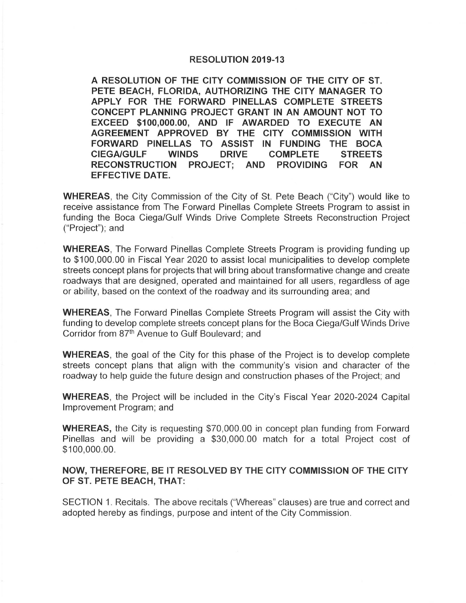## **RESOLUTION 2019-13**

**A RESOLUTION OF THE CITY COMMISSION OF THE CITY OF ST. PETE BEACH, FLORIDA, AUTHORIZING THE CITY MANAGER TO APPLY FOR THE FORWARD PINELLAS COMPLETE STREETS CONCEPT PLANNING PROJECT GRANT IN AN AMOUNT NOT TO EXCEED \$100,000.00, AND IF AWARDED TO EXECUTE AN AGREEMENT APPROVED BY THE CITY COMMISSION WITH FORWARD PINELLAS TO ASSIST IN FUNDING THE BOCA CIEGA/GULF WINDS DRIVE COMPLETE STREETS RECONSTRUCTION PROJECT; AND PROVIDING FOR AN EFFECTIVE DATE.** 

**WHEREAS,** the City Commission of the City of St. Pete Beach ("City") would like to receive assistance from The Forward Pinellas Complete Streets Program to assist in funding the Boca Ciega/Gulf Winds Drive Complete Streets Reconstruction Project ("Project"); and

**WHEREAS,** The Forward Pinellas Complete Streets Program is providing funding up to \$100,000.00 in Fiscal Year 2020 to assist local municipalities to develop complete streets concept plans for projects that will bring about transformative change and create roadways that are designed, operated and maintained for all users, regardless of age or ability, based on the context of the roadway and its surrounding area; and

**WHEREAS,** The Forward Pinellas Complete Streets Program will assist the City with funding to develop complete streets concept plans for the Boca Ciega/Gulf Winds Drive Corridor from 87<sup>th</sup> Avenue to Gulf Boulevard; and

**WHEREAS,** the goal of the City for this phase of the Project is to develop complete streets concept plans that align with the community's vision and character of the roadway to help guide the future design and construction phases of the Project; and

**WHEREAS,** the Project will be included in the City's Fiscal Year 2020-2024 Capital Improvement Program; and

**WHEREAS,** the City is requesting \$70,000.00 in concept plan funding from Forward Pinellas and will be providing a \$30,000.00 match for a total Project cost of \$100,000.00.

## **NOW, THEREFORE, BE IT RESOLVED BY THE CITY COMMISSION OF THE CITY OF ST. PETE BEACH, THAT:**

SECTION 1. Recitals. The above recitals ("Whereas" clauses) are true and correct and adopted hereby as findings, purpose and intent of the City Commission.